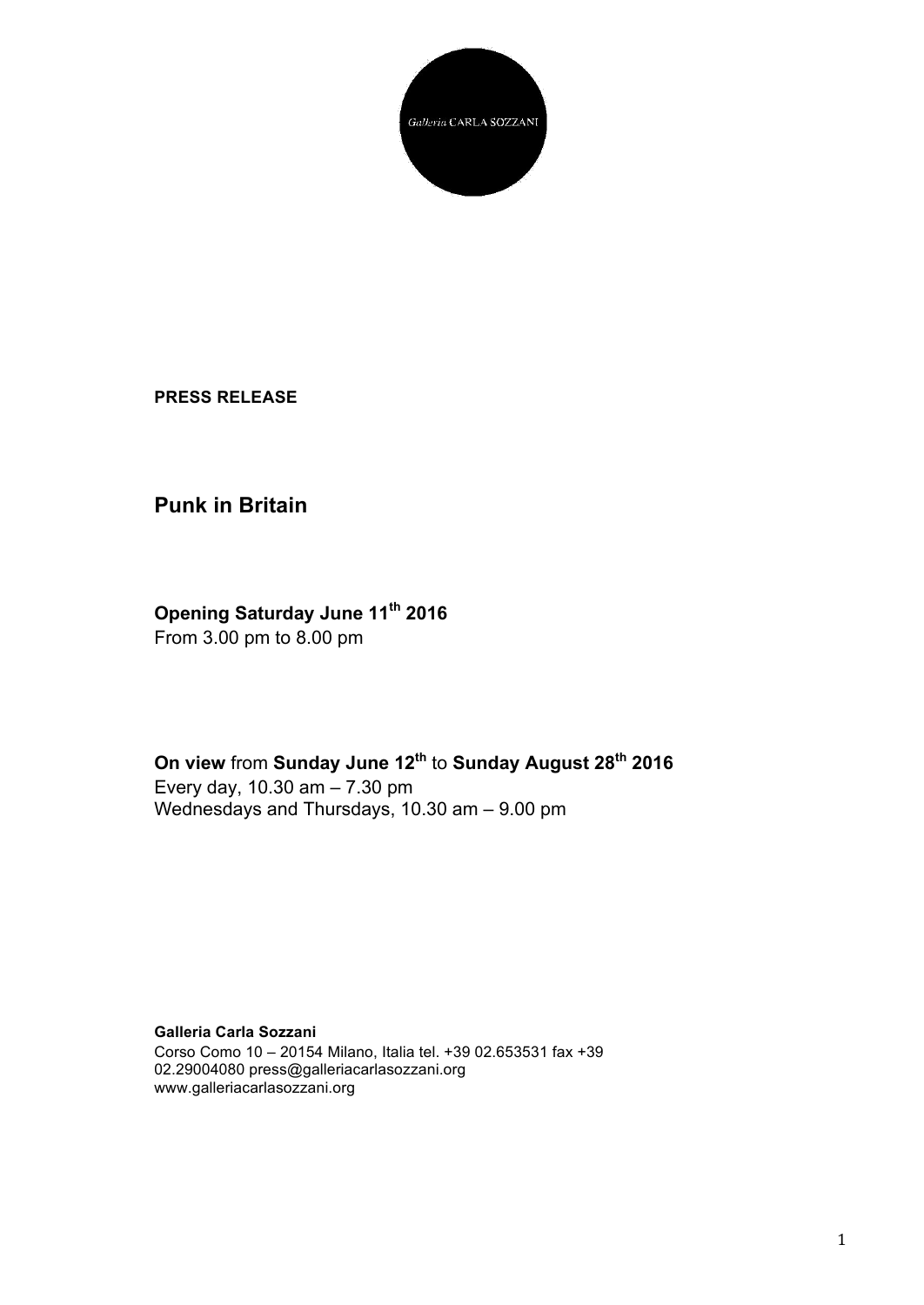

**PRESS RELEASE**

## **Punk in Britain**

## **Opening Saturday June 11th 2016**

From 3.00 pm to 8.00 pm

**On view** from **Sunday June 12th** to **Sunday August 28th 2016** Every day, 10.30 am – 7.30 pm Wednesdays and Thursdays, 10.30 am – 9.00 pm

**Galleria Carla Sozzani** Corso Como 10 – 20154 Milano, Italia tel. +39 02.653531 fax +39 02.29004080 press@galleriacarlasozzani.org www.galleriacarlasozzani.org